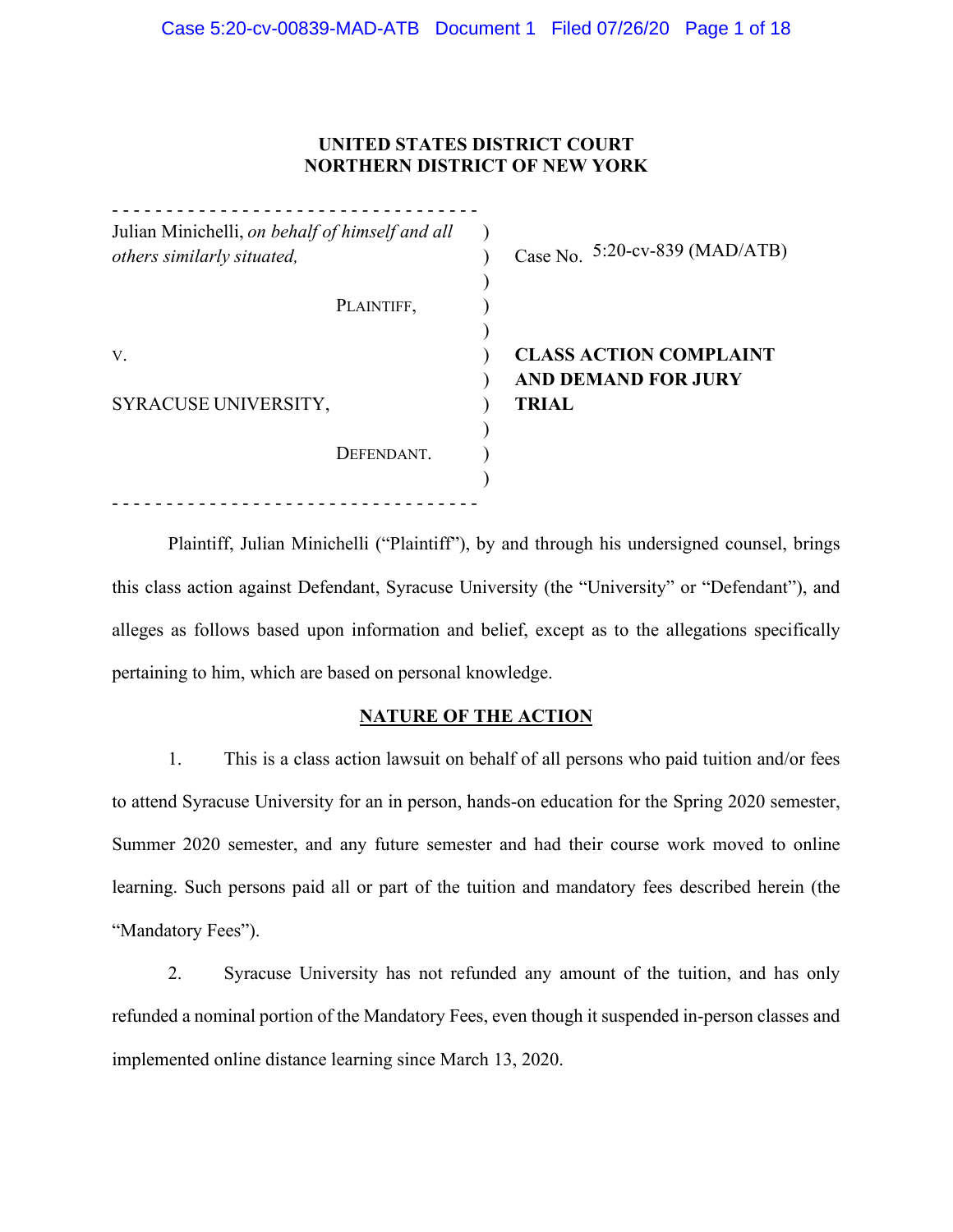# **UNITED STATES DISTRICT COURT NORTHERN DISTRICT OF NEW YORK**

| Julian Minichelli, on behalf of himself and all<br>others similarly situated, | Case No. $5:20$ -cv-839 (MAD/ATB) |
|-------------------------------------------------------------------------------|-----------------------------------|
| PLAINTIFF,                                                                    |                                   |
| V.                                                                            | <b>CLASS ACTION COMPLAINT</b>     |
|                                                                               | <b>AND DEMAND FOR JURY</b>        |
| SYRACUSE UNIVERSITY,                                                          | <b>TRIAL</b>                      |
| DEFENDANT.                                                                    |                                   |
|                                                                               |                                   |

Plaintiff, Julian Minichelli ("Plaintiff"), by and through his undersigned counsel, brings this class action against Defendant, Syracuse University (the "University" or "Defendant"), and alleges as follows based upon information and belief, except as to the allegations specifically pertaining to him, which are based on personal knowledge.

# **NATURE OF THE ACTION**

1. This is a class action lawsuit on behalf of all persons who paid tuition and/or fees to attend Syracuse University for an in person, hands-on education for the Spring 2020 semester, Summer 2020 semester, and any future semester and had their course work moved to online learning. Such persons paid all or part of the tuition and mandatory fees described herein (the "Mandatory Fees").

2. Syracuse University has not refunded any amount of the tuition, and has only refunded a nominal portion of the Mandatory Fees, even though it suspended in-person classes and implemented online distance learning since March 13, 2020.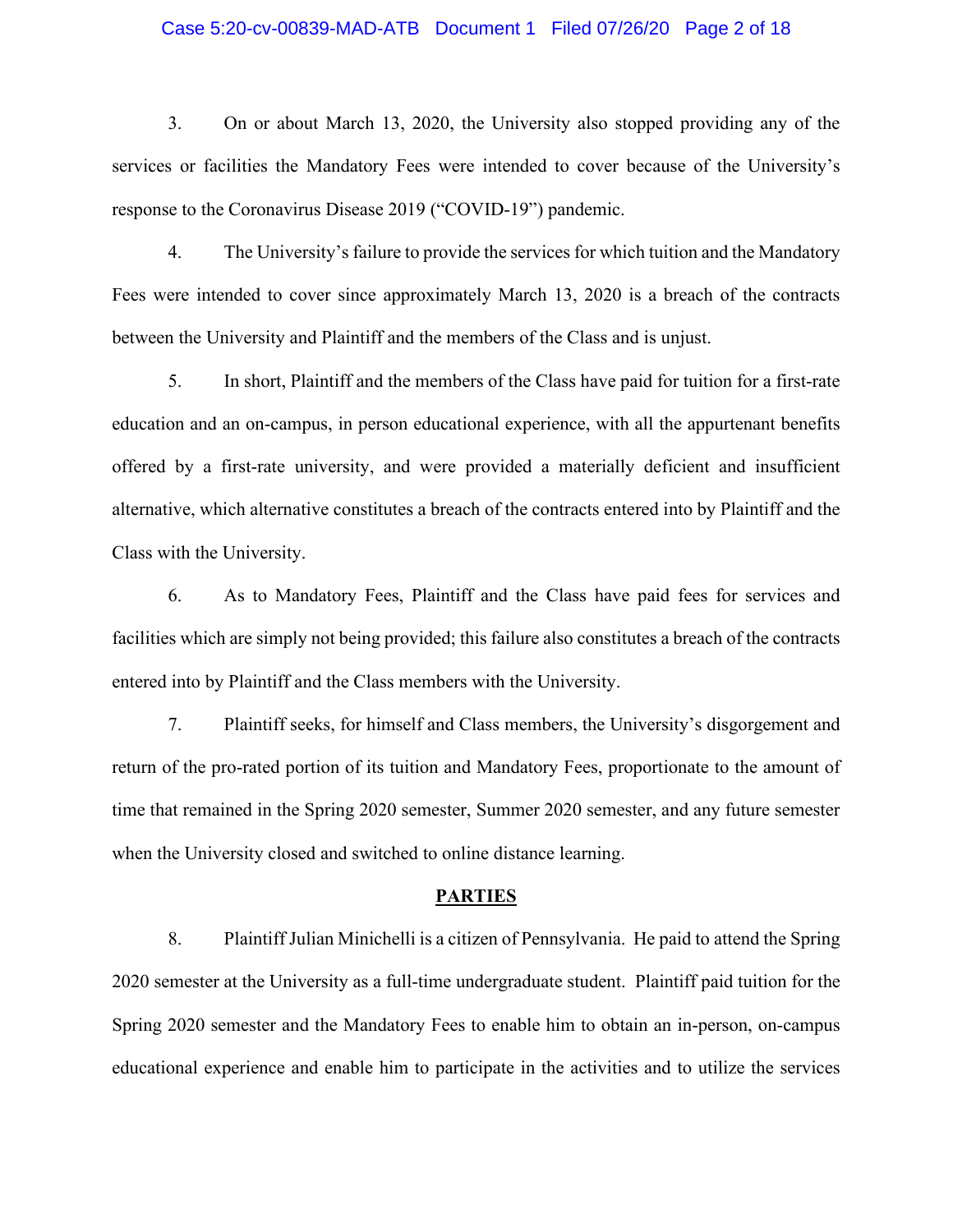## Case 5:20-cv-00839-MAD-ATB Document 1 Filed 07/26/20 Page 2 of 18

3. On or about March 13, 2020, the University also stopped providing any of the services or facilities the Mandatory Fees were intended to cover because of the University's response to the Coronavirus Disease 2019 ("COVID-19") pandemic.

4. The University's failure to provide the services for which tuition and the Mandatory Fees were intended to cover since approximately March 13, 2020 is a breach of the contracts between the University and Plaintiff and the members of the Class and is unjust.

5. In short, Plaintiff and the members of the Class have paid for tuition for a first-rate education and an on-campus, in person educational experience, with all the appurtenant benefits offered by a first-rate university, and were provided a materially deficient and insufficient alternative, which alternative constitutes a breach of the contracts entered into by Plaintiff and the Class with the University.

6. As to Mandatory Fees, Plaintiff and the Class have paid fees for services and facilities which are simply not being provided; this failure also constitutes a breach of the contracts entered into by Plaintiff and the Class members with the University.

7. Plaintiff seeks, for himself and Class members, the University's disgorgement and return of the pro-rated portion of its tuition and Mandatory Fees, proportionate to the amount of time that remained in the Spring 2020 semester, Summer 2020 semester, and any future semester when the University closed and switched to online distance learning.

#### **PARTIES**

8. Plaintiff Julian Minichelli is a citizen of Pennsylvania. He paid to attend the Spring 2020 semester at the University as a full-time undergraduate student. Plaintiff paid tuition for the Spring 2020 semester and the Mandatory Fees to enable him to obtain an in-person, on-campus educational experience and enable him to participate in the activities and to utilize the services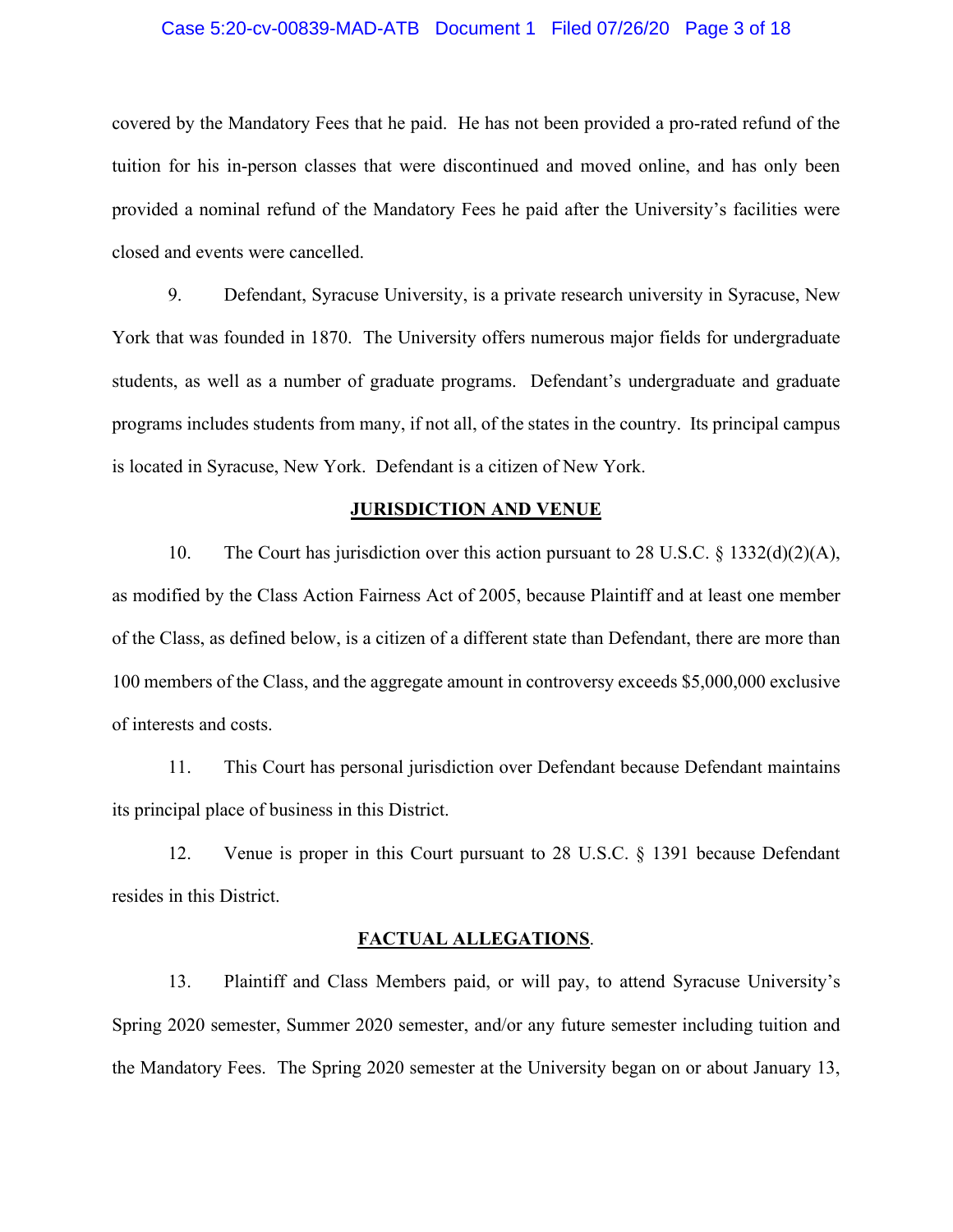## Case 5:20-cv-00839-MAD-ATB Document 1 Filed 07/26/20 Page 3 of 18

covered by the Mandatory Fees that he paid. He has not been provided a pro-rated refund of the tuition for his in-person classes that were discontinued and moved online, and has only been provided a nominal refund of the Mandatory Fees he paid after the University's facilities were closed and events were cancelled.

9. Defendant, Syracuse University, is a private research university in Syracuse, New York that was founded in 1870. The University offers numerous major fields for undergraduate students, as well as a number of graduate programs. Defendant's undergraduate and graduate programs includes students from many, if not all, of the states in the country. Its principal campus is located in Syracuse, New York. Defendant is a citizen of New York.

### **JURISDICTION AND VENUE**

10. The Court has jurisdiction over this action pursuant to 28 U.S.C. § 1332(d)(2)(A), as modified by the Class Action Fairness Act of 2005, because Plaintiff and at least one member of the Class, as defined below, is a citizen of a different state than Defendant, there are more than 100 members of the Class, and the aggregate amount in controversy exceeds \$5,000,000 exclusive of interests and costs.

11. This Court has personal jurisdiction over Defendant because Defendant maintains its principal place of business in this District.

12. Venue is proper in this Court pursuant to 28 U.S.C. § 1391 because Defendant resides in this District.

#### **FACTUAL ALLEGATIONS**.

13. Plaintiff and Class Members paid, or will pay, to attend Syracuse University's Spring 2020 semester, Summer 2020 semester, and/or any future semester including tuition and the Mandatory Fees. The Spring 2020 semester at the University began on or about January 13,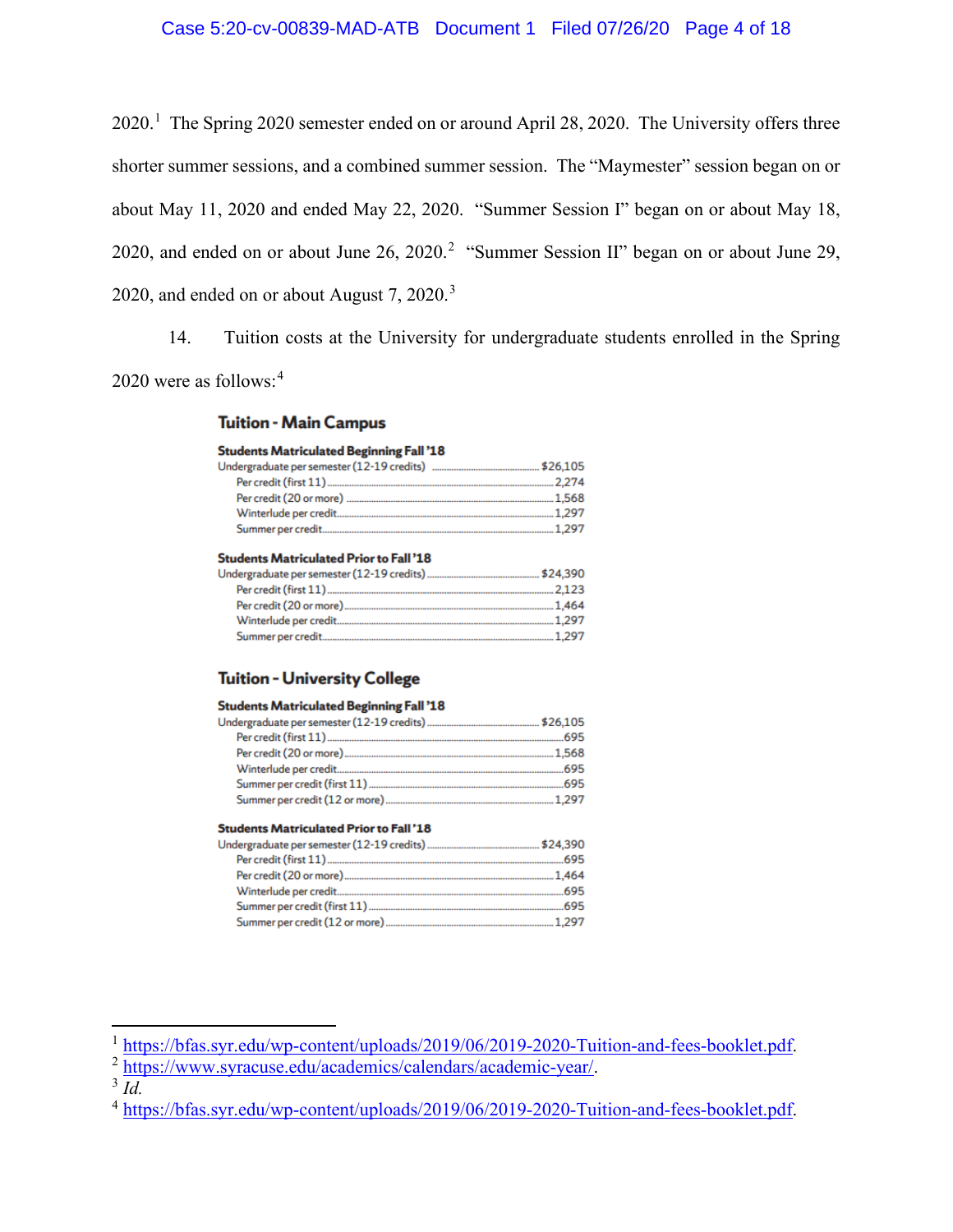## Case 5:20-cv-00839-MAD-ATB Document 1 Filed 07/26/20 Page 4 of 18

2020.<sup>1</sup> The Spring 2020 semester ended on or around April 28, 2020. The University offers three shorter summer sessions, and a combined summer session. The "Maymester" session began on or about May 11, 2020 and ended May 22, 2020. "Summer Session I" began on or about May 18, 2020, and ended on or about June 26, 2020.<sup>2</sup> "Summer Session II" began on or about June 29, 2020, and ended on or about August 7, 2020.<sup>3</sup>

14. Tuition costs at the University for undergraduate students enrolled in the Spring 2020 were as follows:<sup>4</sup>

## **Tuition - Main Campus**

### **Students Matriculated Beginning Fall '18**

| <b>Students Matriculated Prior to Fall '18</b> |  |
|------------------------------------------------|--|
|                                                |  |

| Indergraduate per semester (12-19 credits) | . \$24,390 |
|--------------------------------------------|------------|
| Per credit (first 11)                      | .2.123     |
| Per credit (20 or more)                    | .1.464     |
| Winterlude per credit                      | 1.297      |
| Summer per credit.                         | 1.297      |

## **Tuition - University College**

| <b>Students Matriculated Beginning Fall '18</b> |        |
|-------------------------------------------------|--------|
|                                                 |        |
|                                                 | 695    |
|                                                 |        |
|                                                 | 695    |
|                                                 | 695    |
|                                                 | .1.297 |

#### **Students Matriculated Prior to Fall'18**

| 695 |
|-----|
|     |
| 695 |
| 695 |
|     |

<sup>&</sup>lt;sup>1</sup> https://bfas.syr.edu/wp-content/uploads/2019/06/2019-2020-Tuition-and-fees-booklet.pdf.<br><sup>2</sup> https://www.syracuse.edu/academics/calendars/academic-year/.<br><sup>3</sup> *Id.* 

<sup>4</sup> https://bfas.syr.edu/wp-content/uploads/2019/06/2019-2020-Tuition-and-fees-booklet.pdf.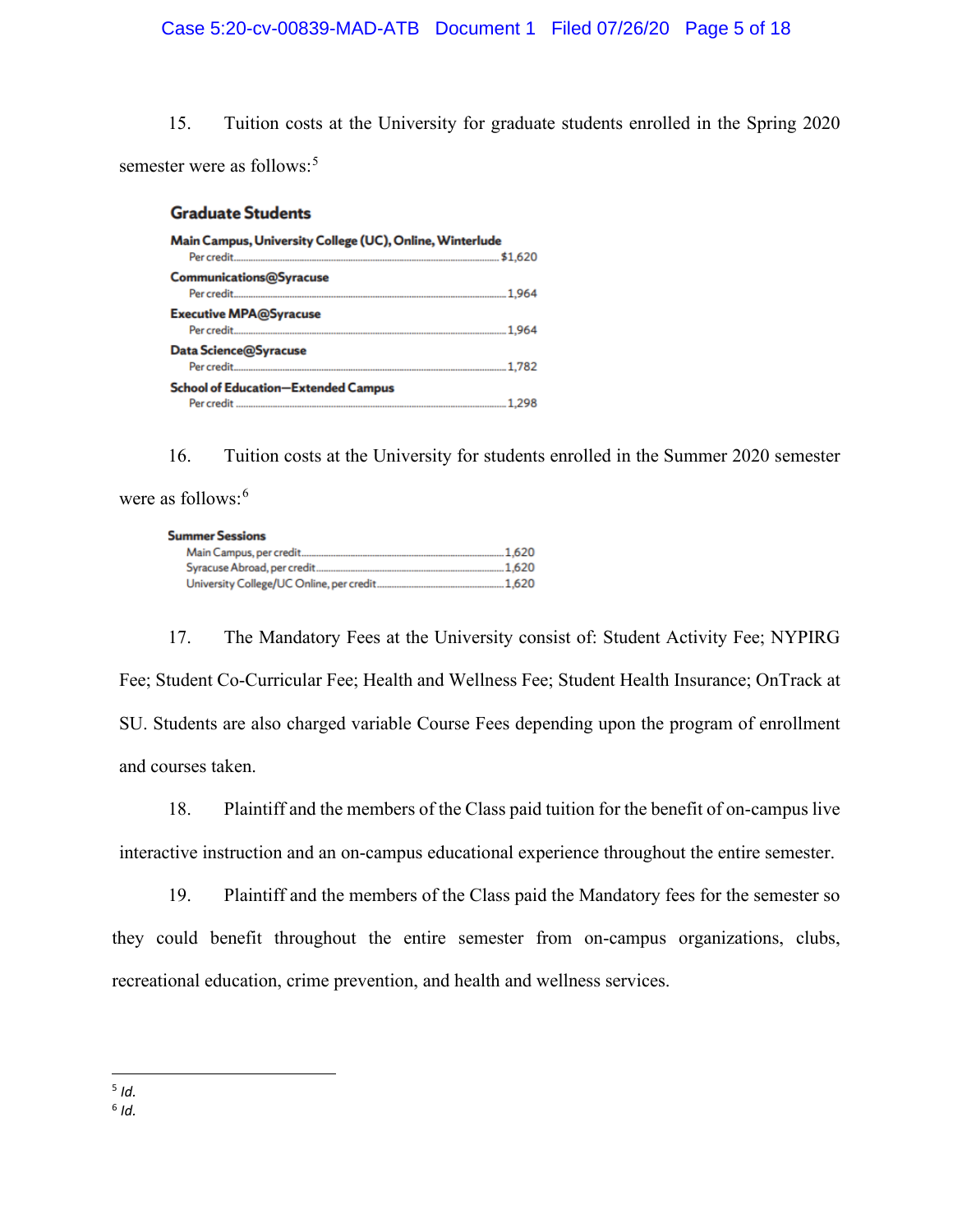15. Tuition costs at the University for graduate students enrolled in the Spring 2020 semester were as follows:<sup>5</sup>

## **Graduate Students**

| Main Campus, University College (UC), Online, Winterlude |         |
|----------------------------------------------------------|---------|
|                                                          | \$1,620 |
| <b>Communications@Syracuse</b>                           |         |
|                                                          |         |
| <b>Executive MPA@Syracuse</b>                            |         |
|                                                          |         |
| Data Science@Syracuse                                    |         |
|                                                          |         |
| <b>School of Education-Extended Campus</b>               |         |
|                                                          |         |

16. Tuition costs at the University for students enrolled in the Summer 2020 semester were as follows: $6$ 

#### **Summer Sessions**

| Main Campus, per credit.                  | .1.620 |
|-------------------------------------------|--------|
| Syracuse Abroad, per credit.              | .1.620 |
| University College/UC Online, per credit. | 1.620  |

17. The Mandatory Fees at the University consist of: Student Activity Fee; NYPIRG Fee; Student Co-Curricular Fee; Health and Wellness Fee; Student Health Insurance; OnTrack at SU. Students are also charged variable Course Fees depending upon the program of enrollment and courses taken.

18. Plaintiff and the members of the Class paid tuition for the benefit of on-campus live interactive instruction and an on-campus educational experience throughout the entire semester.

19. Plaintiff and the members of the Class paid the Mandatory fees for the semester so they could benefit throughout the entire semester from on-campus organizations, clubs, recreational education, crime prevention, and health and wellness services.

 $5$  *Id.* 

 $6$  *Id.*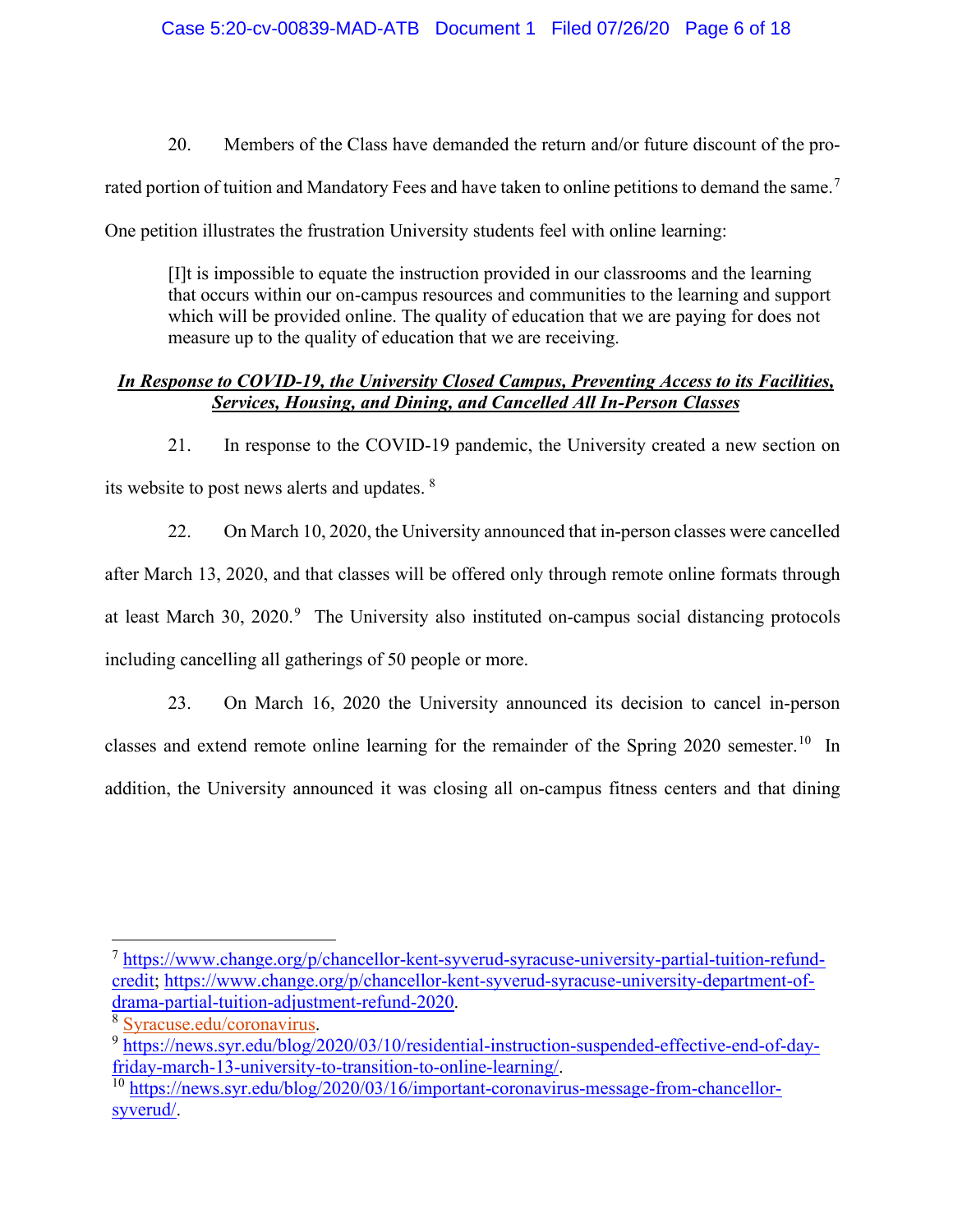20. Members of the Class have demanded the return and/or future discount of the pro-

rated portion of tuition and Mandatory Fees and have taken to online petitions to demand the same.<sup>7</sup>

One petition illustrates the frustration University students feel with online learning:

[I]t is impossible to equate the instruction provided in our classrooms and the learning that occurs within our on-campus resources and communities to the learning and support which will be provided online. The quality of education that we are paying for does not measure up to the quality of education that we are receiving.

# *In Response to COVID-19, the University Closed Campus, Preventing Access to its Facilities, Services, Housing, and Dining, and Cancelled All In-Person Classes*

21. In response to the COVID-19 pandemic, the University created a new section on its website to post news alerts and updates. <sup>8</sup>

22. On March 10, 2020, the University announced that in-person classes were cancelled after March 13, 2020, and that classes will be offered only through remote online formats through at least March 30,  $2020$ .<sup>9</sup> The University also instituted on-campus social distancing protocols including cancelling all gatherings of 50 people or more.

23. On March 16, 2020 the University announced its decision to cancel in-person classes and extend remote online learning for the remainder of the Spring 2020 semester.<sup>10</sup> In addition, the University announced it was closing all on-campus fitness centers and that dining

<sup>7</sup> https://www.change.org/p/chancellor-kent-syverud-syracuse-university-partial-tuition-refundcredit; https://www.change.org/p/chancellor-kent-syverud-syracuse-university-department-of-<br>drama-partial-tuition-adjustment-refund-2020.

 $\frac{8 \text{ Syracuse.edu}/\text{coronavirus}}{9 \text{https://news.syr.edu/blog/2020/03/10/residental-instruction-suspended-effective-end-of-day-}}$ friday-march-13-university-to-transition-to-online-learning/.<br><sup>10</sup> https://news.syr.edu/blog/2020/03/1<u>6/important-coronavirus-message-from-chancellor-</u>

syverud/.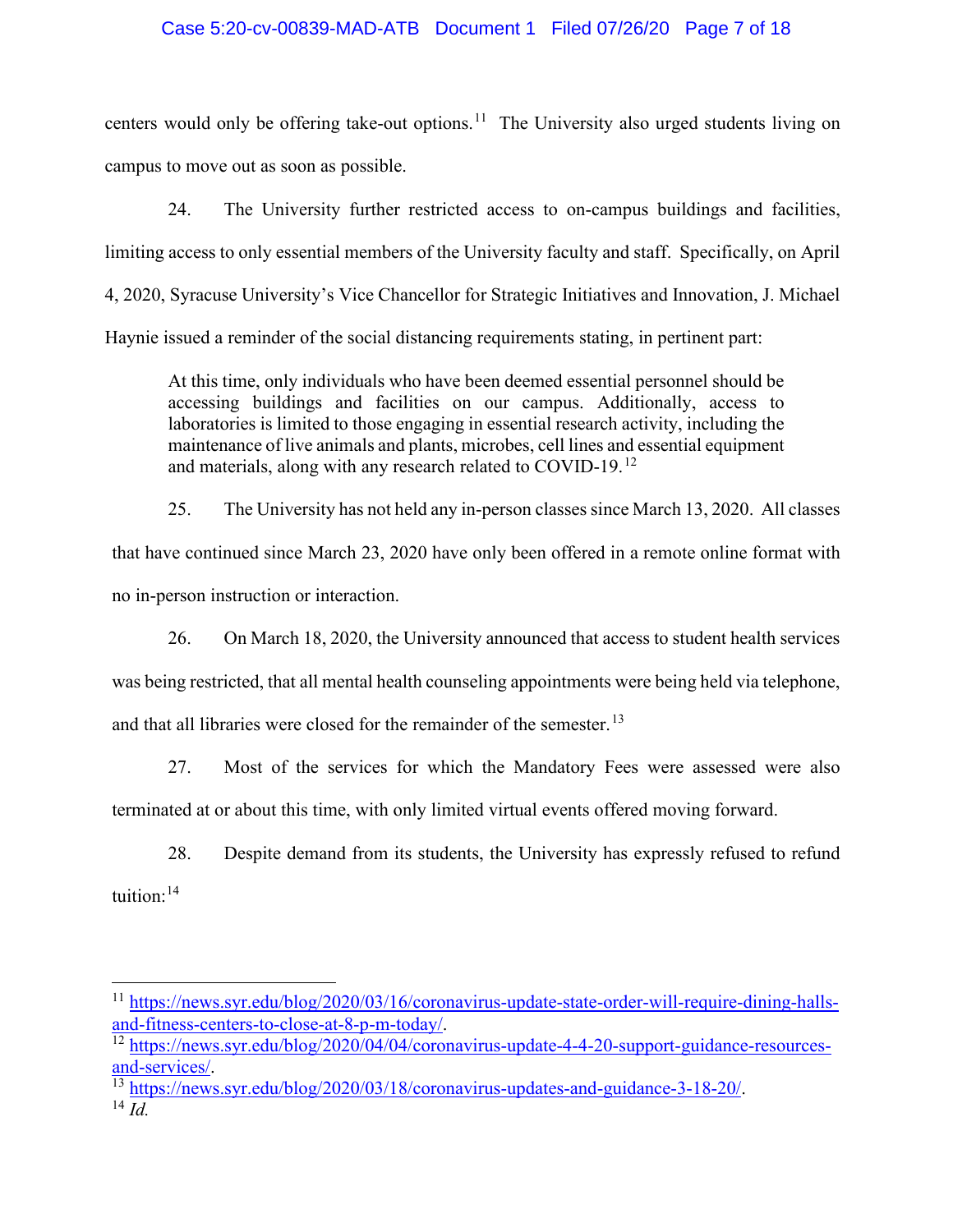## Case 5:20-cv-00839-MAD-ATB Document 1 Filed 07/26/20 Page 7 of 18

centers would only be offering take-out options.<sup>11</sup> The University also urged students living on campus to move out as soon as possible.

24. The University further restricted access to on-campus buildings and facilities, limiting access to only essential members of the University faculty and staff. Specifically, on April 4, 2020, Syracuse University's Vice Chancellor for Strategic Initiatives and Innovation, J. Michael Haynie issued a reminder of the social distancing requirements stating, in pertinent part:

At this time, only individuals who have been deemed essential personnel should be accessing buildings and facilities on our campus. Additionally, access to laboratories is limited to those engaging in essential research activity, including the maintenance of live animals and plants, microbes, cell lines and essential equipment and materials, along with any research related to COVID-19.<sup>12</sup>

25. The University has not held any in-person classes since March 13, 2020. All classes that have continued since March 23, 2020 have only been offered in a remote online format with no in-person instruction or interaction.

26. On March 18, 2020, the University announced that access to student health services was being restricted, that all mental health counseling appointments were being held via telephone, and that all libraries were closed for the remainder of the semester.<sup>13</sup>

27. Most of the services for which the Mandatory Fees were assessed were also terminated at or about this time, with only limited virtual events offered moving forward.

28. Despite demand from its students, the University has expressly refused to refund tuition:<sup>14</sup>

<sup>&</sup>lt;sup>11</sup> https://news.syr.edu/blog/2020/03/16/coronavirus-update-state-order-will-require-dining-halls-<br>and-fitness-centers-to-close-at-8-p-m-today/.

<sup>&</sup>lt;sup>12</sup> https://news.syr.edu/blog/2020/04/04/coronavirus-update-4-4-20-support-guidance-resources-<br>and-services/.

<sup>&</sup>lt;sup>13</sup> https://news.syr.edu/blog/2020/03/18/coronavirus-updates-and-guidance-3-18-20/.<br><sup>14</sup> *Id*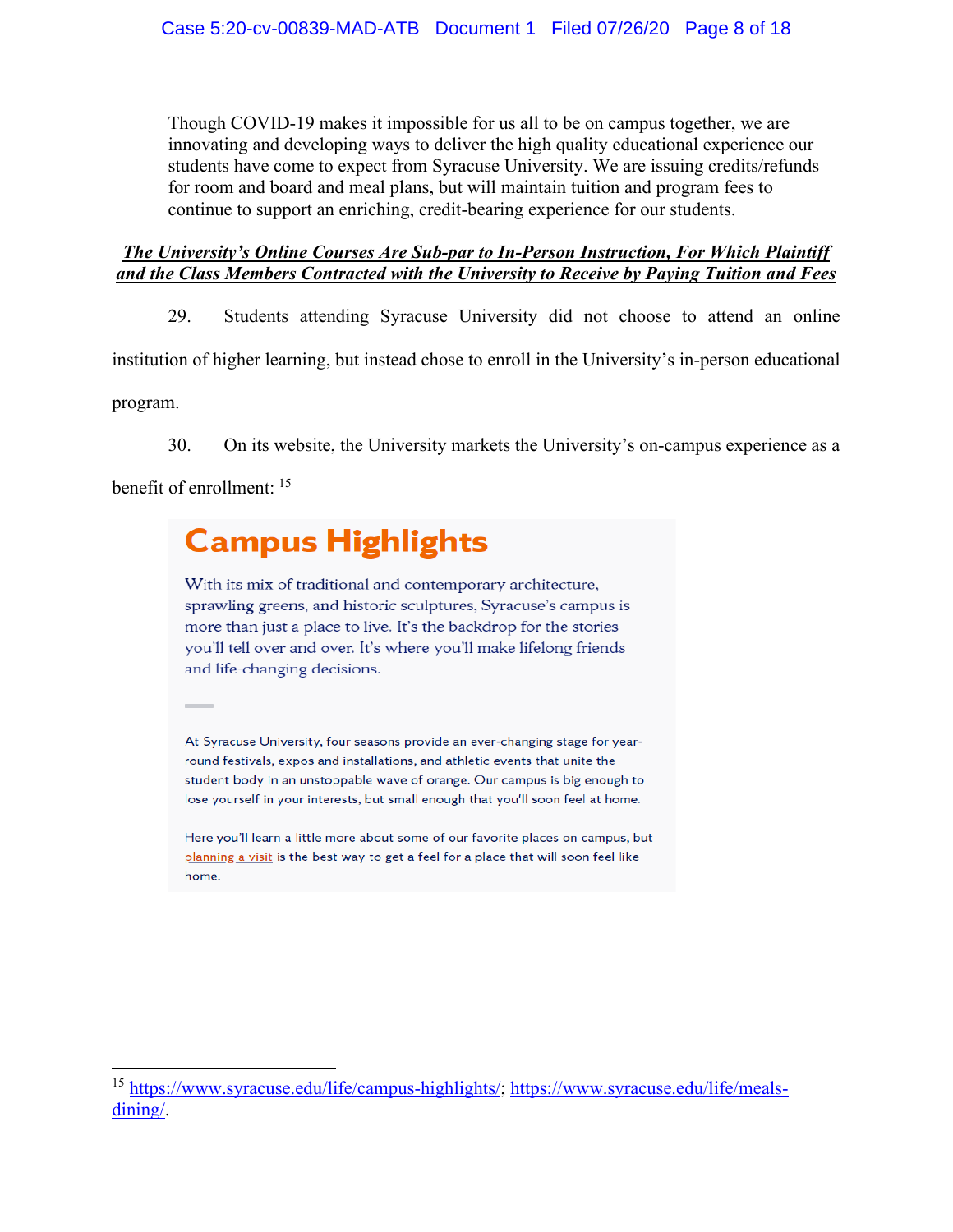Though COVID-19 makes it impossible for us all to be on campus together, we are innovating and developing ways to deliver the high quality educational experience our students have come to expect from Syracuse University. We are issuing credits/refunds for room and board and meal plans, but will maintain tuition and program fees to continue to support an enriching, credit-bearing experience for our students.

# *The University's Online Courses Are Sub-par to In-Person Instruction, For Which Plaintiff and the Class Members Contracted with the University to Receive by Paying Tuition and Fees*

29. Students attending Syracuse University did not choose to attend an online institution of higher learning, but instead chose to enroll in the University's in-person educational program.

30. On its website, the University markets the University's on-campus experience as a

benefit of enrollment: <sup>15</sup>

# **Campus Highlights**

With its mix of traditional and contemporary architecture, sprawling greens, and historic sculptures, Syracuse's campus is more than just a place to live. It's the backdrop for the stories you'll tell over and over. It's where you'll make lifelong friends and life-changing decisions.

At Syracuse University, four seasons provide an ever-changing stage for yearround festivals, expos and installations, and athletic events that unite the student body in an unstoppable wave of orange. Our campus is big enough to lose yourself in your interests, but small enough that you'll soon feel at home.

Here you'll learn a little more about some of our favorite places on campus, but planning a visit is the best way to get a feel for a place that will soon feel like home.

<sup>15</sup> https://www.syracuse.edu/life/campus-highlights/; https://www.syracuse.edu/life/mealsdining/.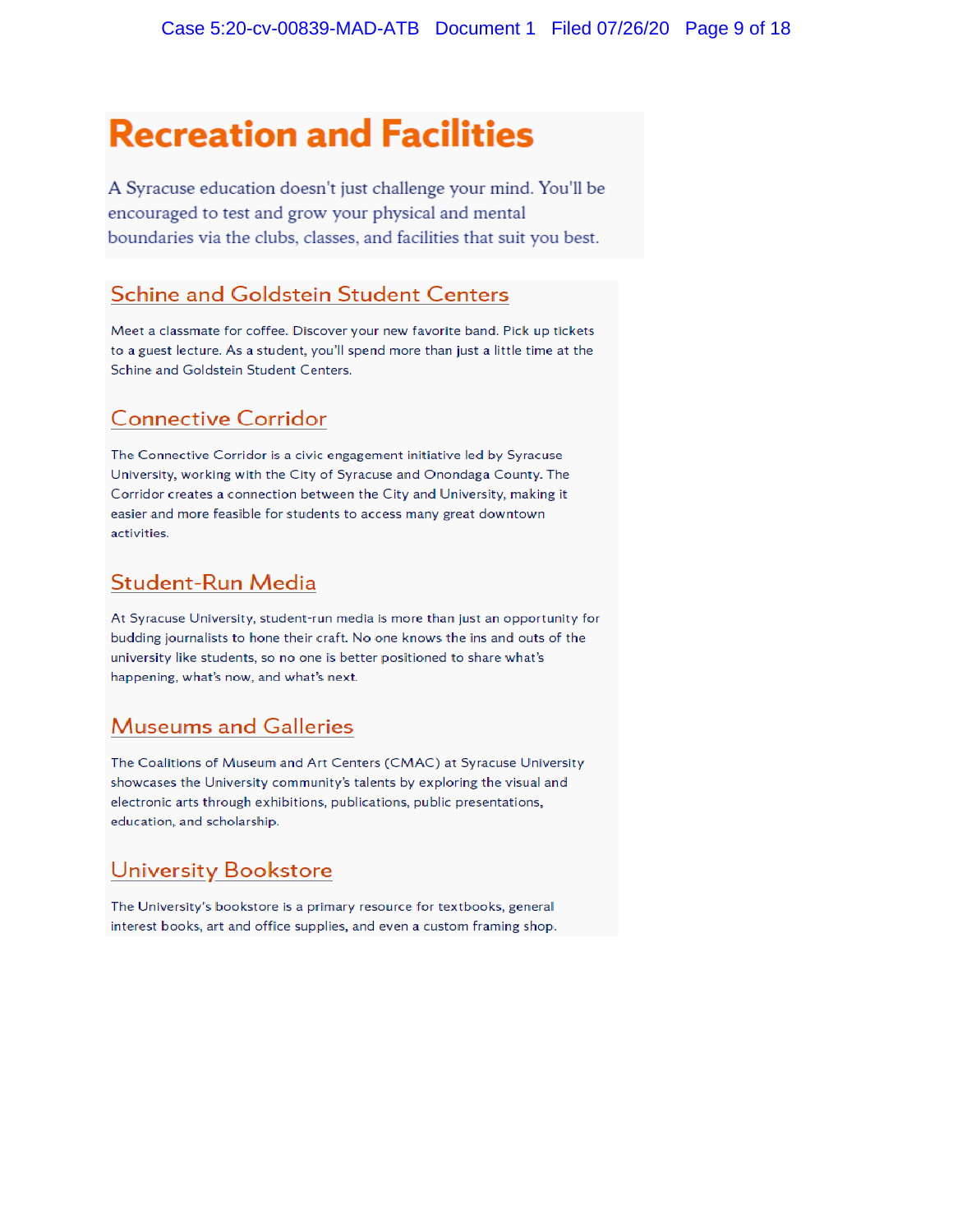# **Recreation and Facilities**

A Syracuse education doesn't just challenge your mind. You'll be encouraged to test and grow your physical and mental boundaries via the clubs, classes, and facilities that suit you best.

# **Schine and Goldstein Student Centers**

Meet a classmate for coffee. Discover your new favorite band. Pick up tickets to a guest lecture. As a student, you'll spend more than just a little time at the Schine and Goldstein Student Centers.

# **Connective Corridor**

The Connective Corridor is a civic engagement initiative led by Syracuse University, working with the City of Syracuse and Onondaga County. The Corridor creates a connection between the City and University, making it easier and more feasible for students to access many great downtown activities.

# **Student-Run Media**

At Syracuse University, student-run media is more than just an opportunity for budding journalists to hone their craft. No one knows the ins and outs of the university like students, so no one is better positioned to share what's happening, what's now, and what's next.

# **Museums and Galleries**

The Coalitions of Museum and Art Centers (CMAC) at Syracuse University showcases the University community's talents by exploring the visual and electronic arts through exhibitions, publications, public presentations, education, and scholarship.

# **University Bookstore**

The University's bookstore is a primary resource for textbooks, general interest books, art and office supplies, and even a custom framing shop.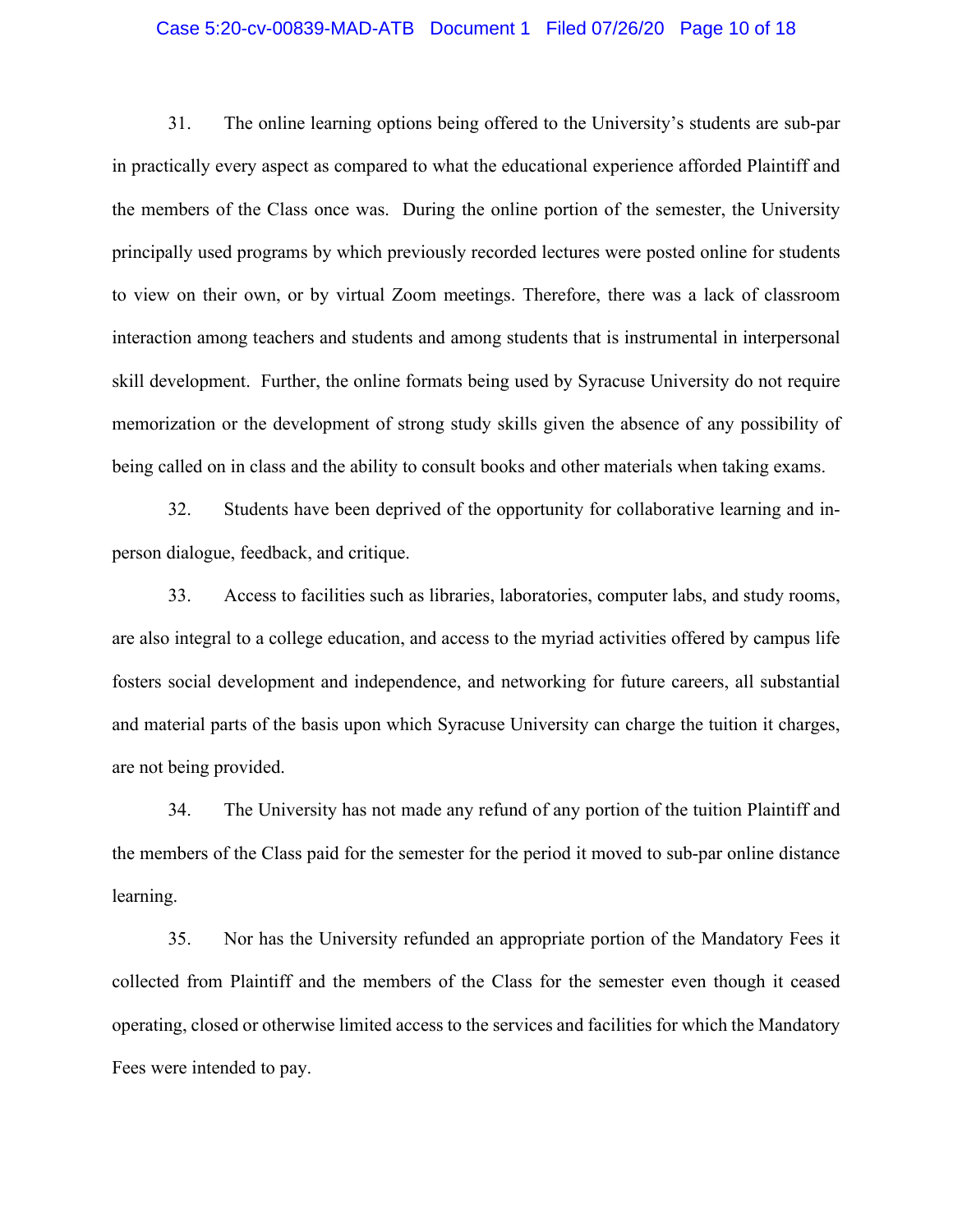## Case 5:20-cv-00839-MAD-ATB Document 1 Filed 07/26/20 Page 10 of 18

31. The online learning options being offered to the University's students are sub-par in practically every aspect as compared to what the educational experience afforded Plaintiff and the members of the Class once was. During the online portion of the semester, the University principally used programs by which previously recorded lectures were posted online for students to view on their own, or by virtual Zoom meetings. Therefore, there was a lack of classroom interaction among teachers and students and among students that is instrumental in interpersonal skill development. Further, the online formats being used by Syracuse University do not require memorization or the development of strong study skills given the absence of any possibility of being called on in class and the ability to consult books and other materials when taking exams.

32. Students have been deprived of the opportunity for collaborative learning and inperson dialogue, feedback, and critique.

33. Access to facilities such as libraries, laboratories, computer labs, and study rooms, are also integral to a college education, and access to the myriad activities offered by campus life fosters social development and independence, and networking for future careers, all substantial and material parts of the basis upon which Syracuse University can charge the tuition it charges, are not being provided.

34. The University has not made any refund of any portion of the tuition Plaintiff and the members of the Class paid for the semester for the period it moved to sub-par online distance learning.

35. Nor has the University refunded an appropriate portion of the Mandatory Fees it collected from Plaintiff and the members of the Class for the semester even though it ceased operating, closed or otherwise limited access to the services and facilities for which the Mandatory Fees were intended to pay.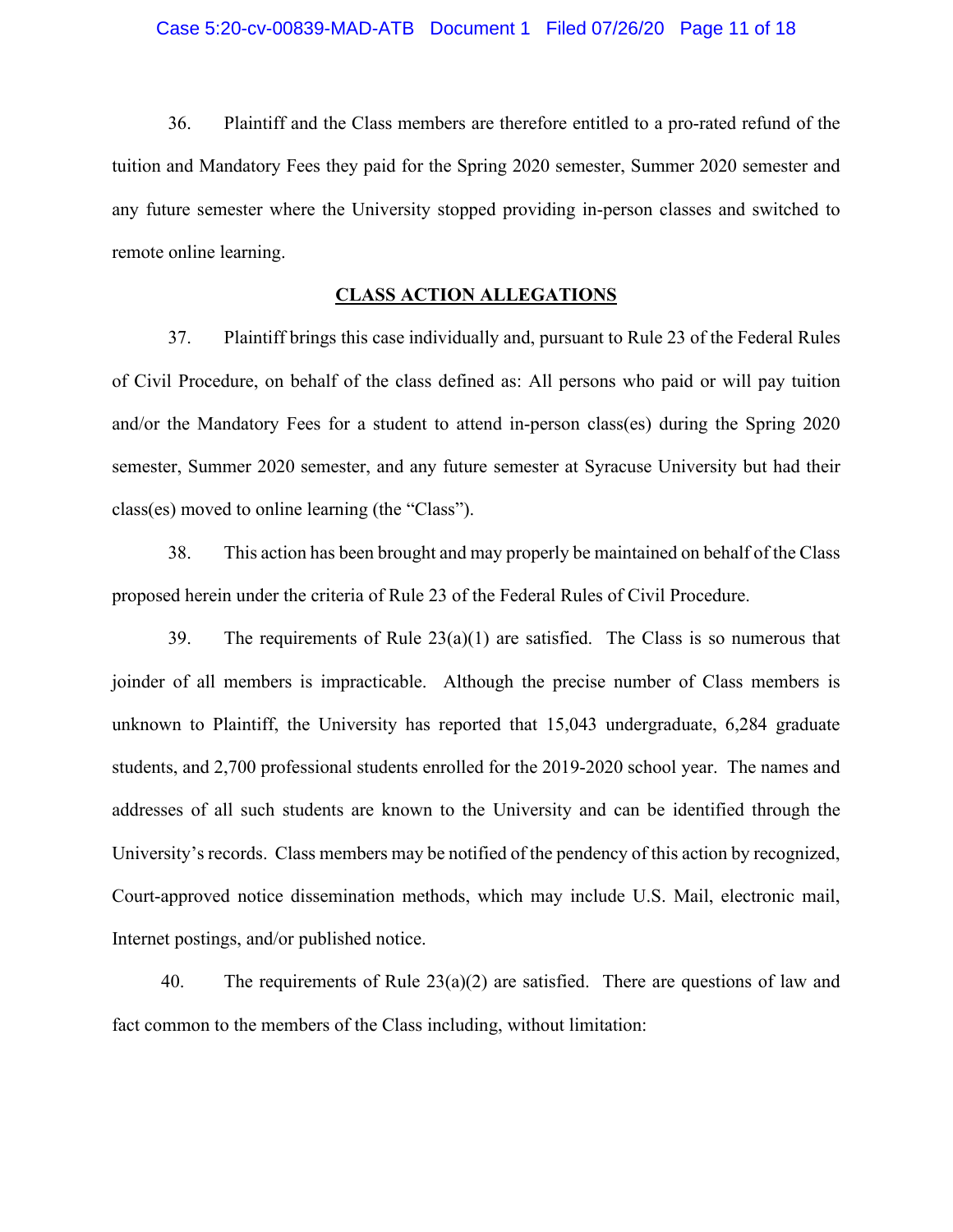36. Plaintiff and the Class members are therefore entitled to a pro-rated refund of the tuition and Mandatory Fees they paid for the Spring 2020 semester, Summer 2020 semester and any future semester where the University stopped providing in-person classes and switched to remote online learning.

# **CLASS ACTION ALLEGATIONS**

37. Plaintiff brings this case individually and, pursuant to Rule 23 of the Federal Rules of Civil Procedure, on behalf of the class defined as: All persons who paid or will pay tuition and/or the Mandatory Fees for a student to attend in-person class(es) during the Spring 2020 semester, Summer 2020 semester, and any future semester at Syracuse University but had their class(es) moved to online learning (the "Class").

38. This action has been brought and may properly be maintained on behalf of the Class proposed herein under the criteria of Rule 23 of the Federal Rules of Civil Procedure.

39. The requirements of Rule  $23(a)(1)$  are satisfied. The Class is so numerous that joinder of all members is impracticable. Although the precise number of Class members is unknown to Plaintiff, the University has reported that 15,043 undergraduate, 6,284 graduate students, and 2,700 professional students enrolled for the 2019-2020 school year. The names and addresses of all such students are known to the University and can be identified through the University's records. Class members may be notified of the pendency of this action by recognized, Court-approved notice dissemination methods, which may include U.S. Mail, electronic mail, Internet postings, and/or published notice.

40. The requirements of Rule  $23(a)(2)$  are satisfied. There are questions of law and fact common to the members of the Class including, without limitation: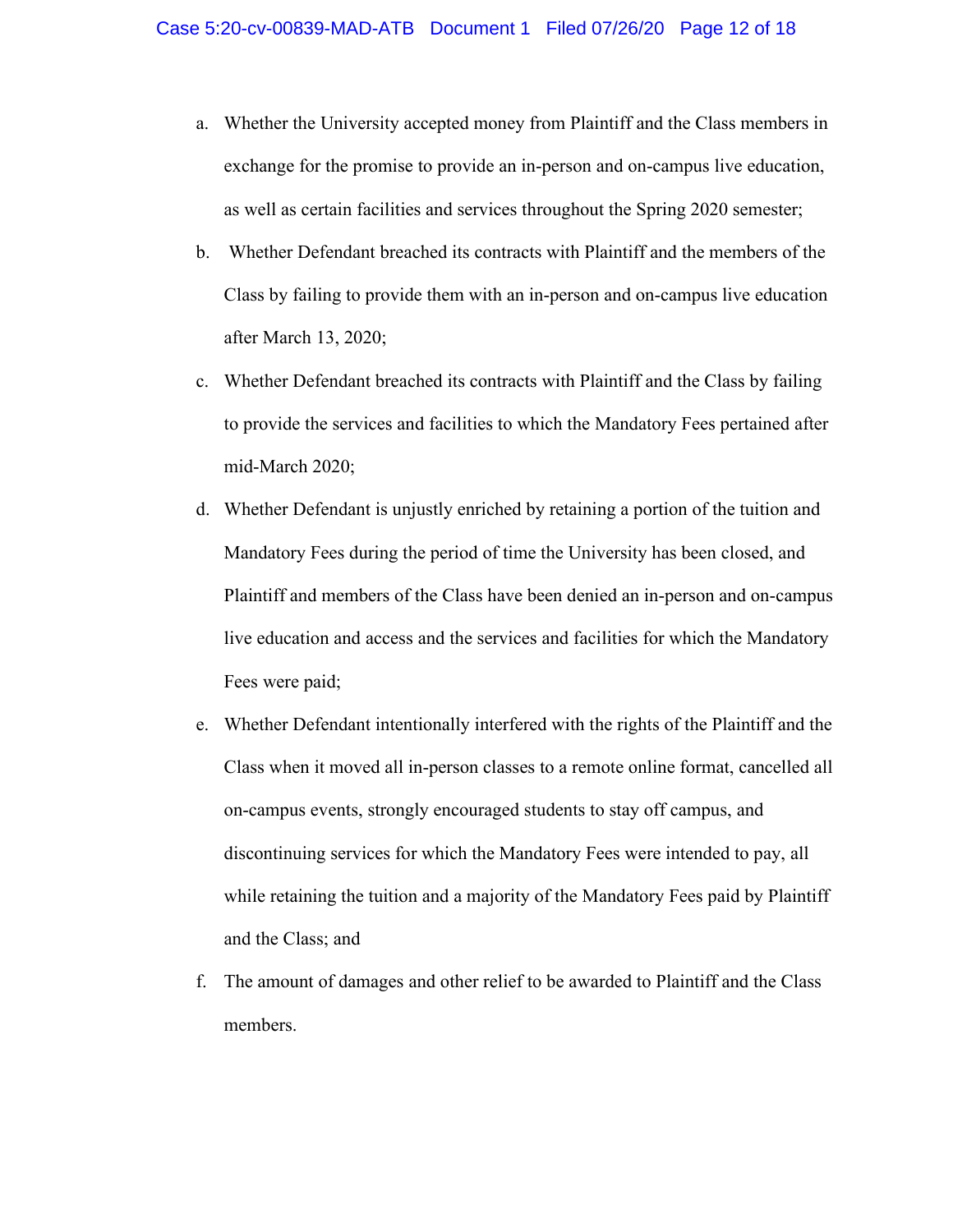- a. Whether the University accepted money from Plaintiff and the Class members in exchange for the promise to provide an in-person and on-campus live education, as well as certain facilities and services throughout the Spring 2020 semester;
- b. Whether Defendant breached its contracts with Plaintiff and the members of the Class by failing to provide them with an in-person and on-campus live education after March 13, 2020;
- c. Whether Defendant breached its contracts with Plaintiff and the Class by failing to provide the services and facilities to which the Mandatory Fees pertained after mid-March 2020;
- d. Whether Defendant is unjustly enriched by retaining a portion of the tuition and Mandatory Fees during the period of time the University has been closed, and Plaintiff and members of the Class have been denied an in-person and on-campus live education and access and the services and facilities for which the Mandatory Fees were paid;
- e. Whether Defendant intentionally interfered with the rights of the Plaintiff and the Class when it moved all in-person classes to a remote online format, cancelled all on-campus events, strongly encouraged students to stay off campus, and discontinuing services for which the Mandatory Fees were intended to pay, all while retaining the tuition and a majority of the Mandatory Fees paid by Plaintiff and the Class; and
- f. The amount of damages and other relief to be awarded to Plaintiff and the Class members.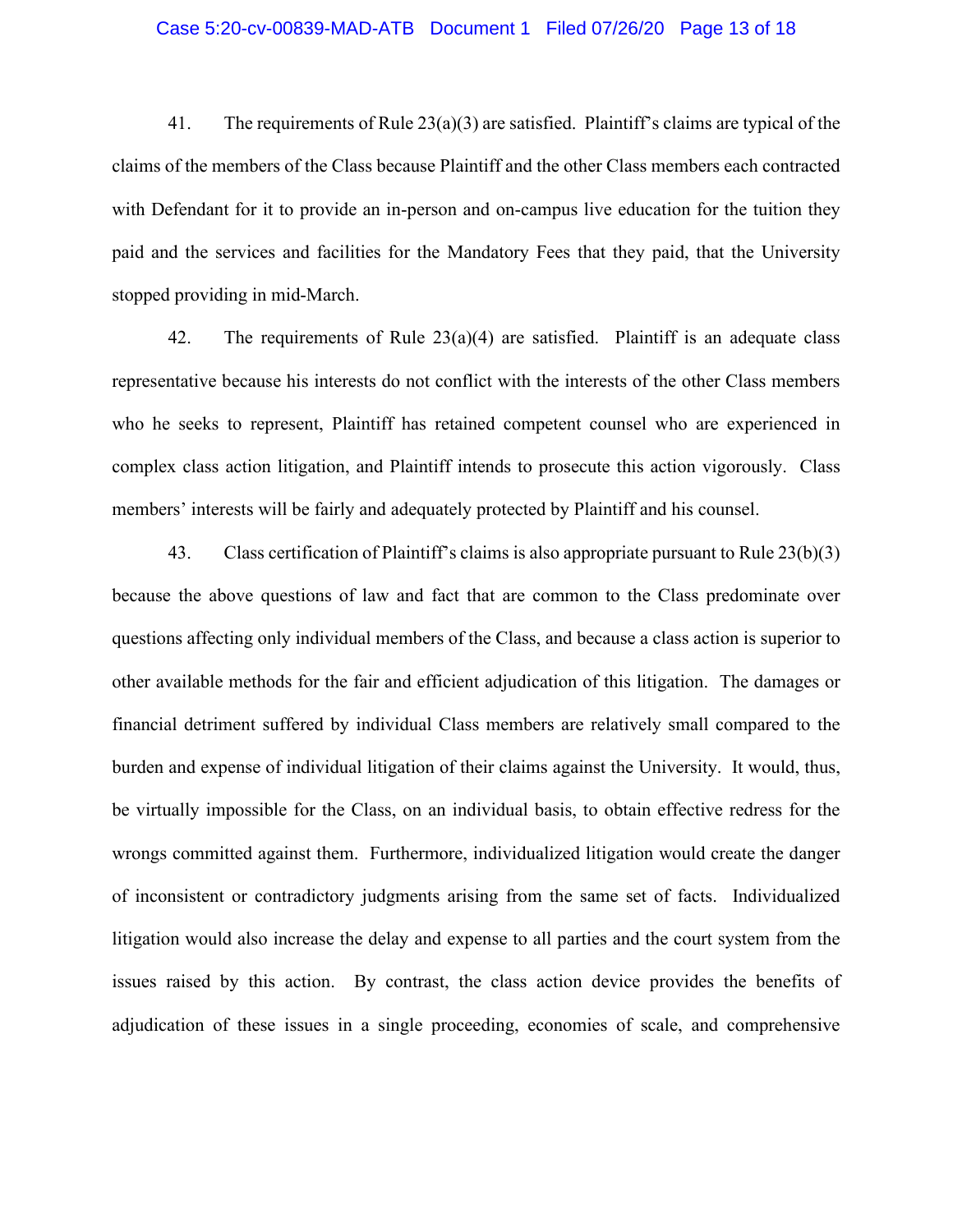## Case 5:20-cv-00839-MAD-ATB Document 1 Filed 07/26/20 Page 13 of 18

41. The requirements of Rule  $23(a)(3)$  are satisfied. Plaintiff's claims are typical of the claims of the members of the Class because Plaintiff and the other Class members each contracted with Defendant for it to provide an in-person and on-campus live education for the tuition they paid and the services and facilities for the Mandatory Fees that they paid, that the University stopped providing in mid-March.

42. The requirements of Rule  $23(a)(4)$  are satisfied. Plaintiff is an adequate class representative because his interests do not conflict with the interests of the other Class members who he seeks to represent, Plaintiff has retained competent counsel who are experienced in complex class action litigation, and Plaintiff intends to prosecute this action vigorously. Class members' interests will be fairly and adequately protected by Plaintiff and his counsel.

43. Class certification of Plaintiff's claims is also appropriate pursuant to Rule 23(b)(3) because the above questions of law and fact that are common to the Class predominate over questions affecting only individual members of the Class, and because a class action is superior to other available methods for the fair and efficient adjudication of this litigation. The damages or financial detriment suffered by individual Class members are relatively small compared to the burden and expense of individual litigation of their claims against the University. It would, thus, be virtually impossible for the Class, on an individual basis, to obtain effective redress for the wrongs committed against them. Furthermore, individualized litigation would create the danger of inconsistent or contradictory judgments arising from the same set of facts. Individualized litigation would also increase the delay and expense to all parties and the court system from the issues raised by this action. By contrast, the class action device provides the benefits of adjudication of these issues in a single proceeding, economies of scale, and comprehensive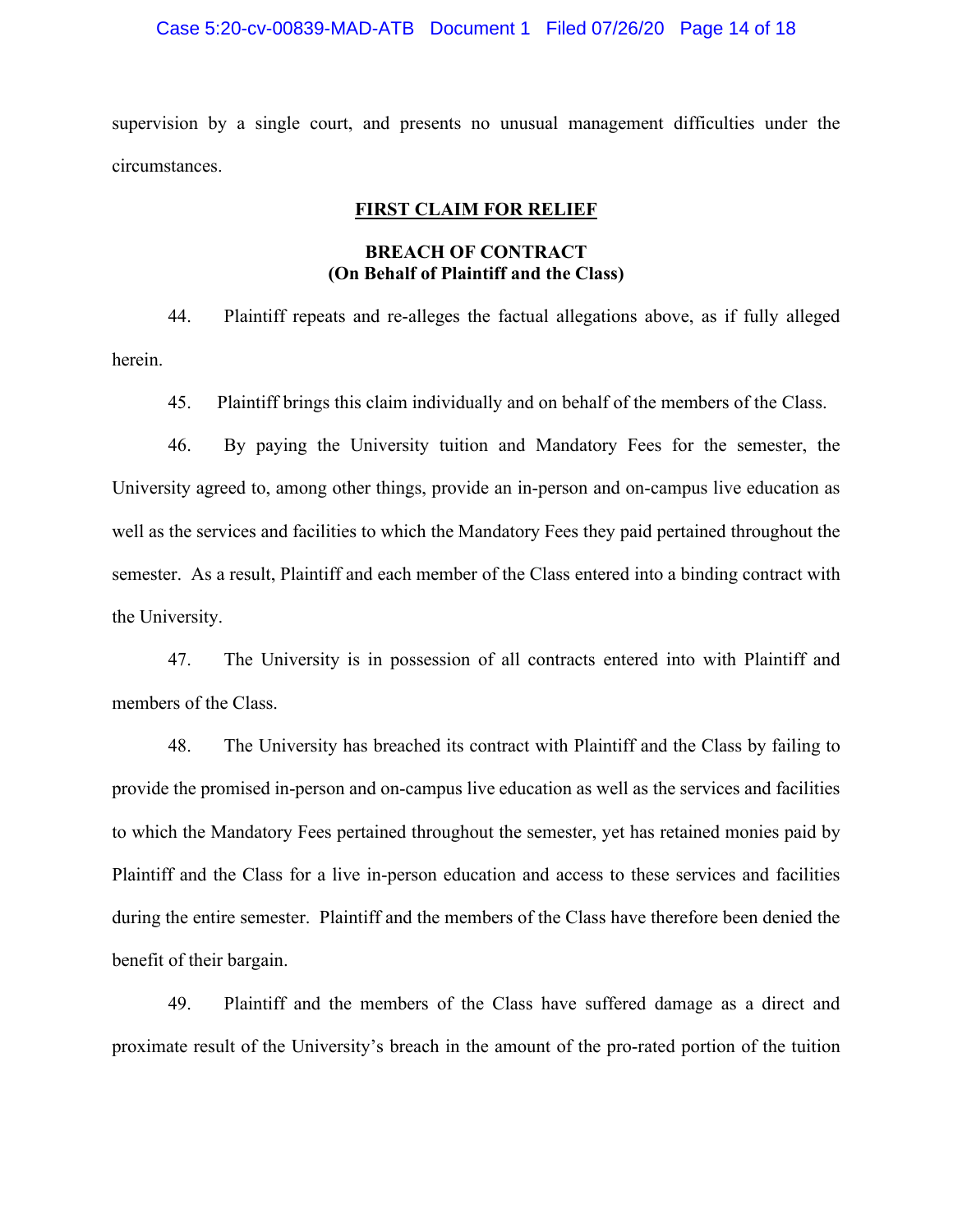## Case 5:20-cv-00839-MAD-ATB Document 1 Filed 07/26/20 Page 14 of 18

supervision by a single court, and presents no unusual management difficulties under the circumstances.

## **FIRST CLAIM FOR RELIEF**

# **BREACH OF CONTRACT (On Behalf of Plaintiff and the Class)**

44. Plaintiff repeats and re-alleges the factual allegations above, as if fully alleged herein.

45. Plaintiff brings this claim individually and on behalf of the members of the Class.

46. By paying the University tuition and Mandatory Fees for the semester, the University agreed to, among other things, provide an in-person and on-campus live education as well as the services and facilities to which the Mandatory Fees they paid pertained throughout the semester. As a result, Plaintiff and each member of the Class entered into a binding contract with the University.

47. The University is in possession of all contracts entered into with Plaintiff and members of the Class.

48. The University has breached its contract with Plaintiff and the Class by failing to provide the promised in-person and on-campus live education as well as the services and facilities to which the Mandatory Fees pertained throughout the semester, yet has retained monies paid by Plaintiff and the Class for a live in-person education and access to these services and facilities during the entire semester. Plaintiff and the members of the Class have therefore been denied the benefit of their bargain.

49. Plaintiff and the members of the Class have suffered damage as a direct and proximate result of the University's breach in the amount of the pro-rated portion of the tuition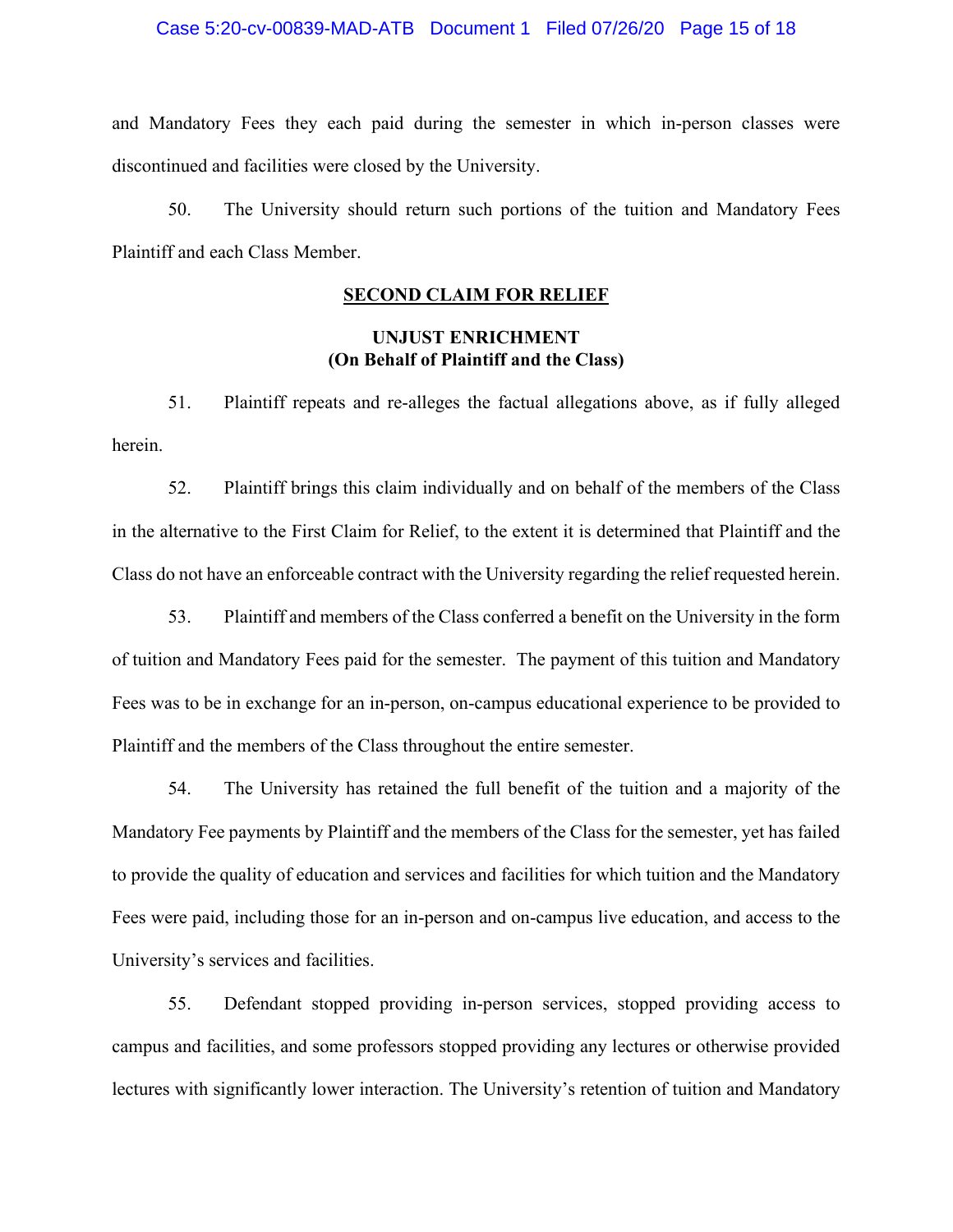## Case 5:20-cv-00839-MAD-ATB Document 1 Filed 07/26/20 Page 15 of 18

and Mandatory Fees they each paid during the semester in which in-person classes were discontinued and facilities were closed by the University.

50. The University should return such portions of the tuition and Mandatory Fees Plaintiff and each Class Member.

# **SECOND CLAIM FOR RELIEF**

# **UNJUST ENRICHMENT (On Behalf of Plaintiff and the Class)**

51. Plaintiff repeats and re-alleges the factual allegations above, as if fully alleged herein.

52. Plaintiff brings this claim individually and on behalf of the members of the Class in the alternative to the First Claim for Relief, to the extent it is determined that Plaintiff and the Class do not have an enforceable contract with the University regarding the relief requested herein.

53. Plaintiff and members of the Class conferred a benefit on the University in the form of tuition and Mandatory Fees paid for the semester. The payment of this tuition and Mandatory Fees was to be in exchange for an in-person, on-campus educational experience to be provided to Plaintiff and the members of the Class throughout the entire semester.

54. The University has retained the full benefit of the tuition and a majority of the Mandatory Fee payments by Plaintiff and the members of the Class for the semester, yet has failed to provide the quality of education and services and facilities for which tuition and the Mandatory Fees were paid, including those for an in-person and on-campus live education, and access to the University's services and facilities.

55. Defendant stopped providing in-person services, stopped providing access to campus and facilities, and some professors stopped providing any lectures or otherwise provided lectures with significantly lower interaction. The University's retention of tuition and Mandatory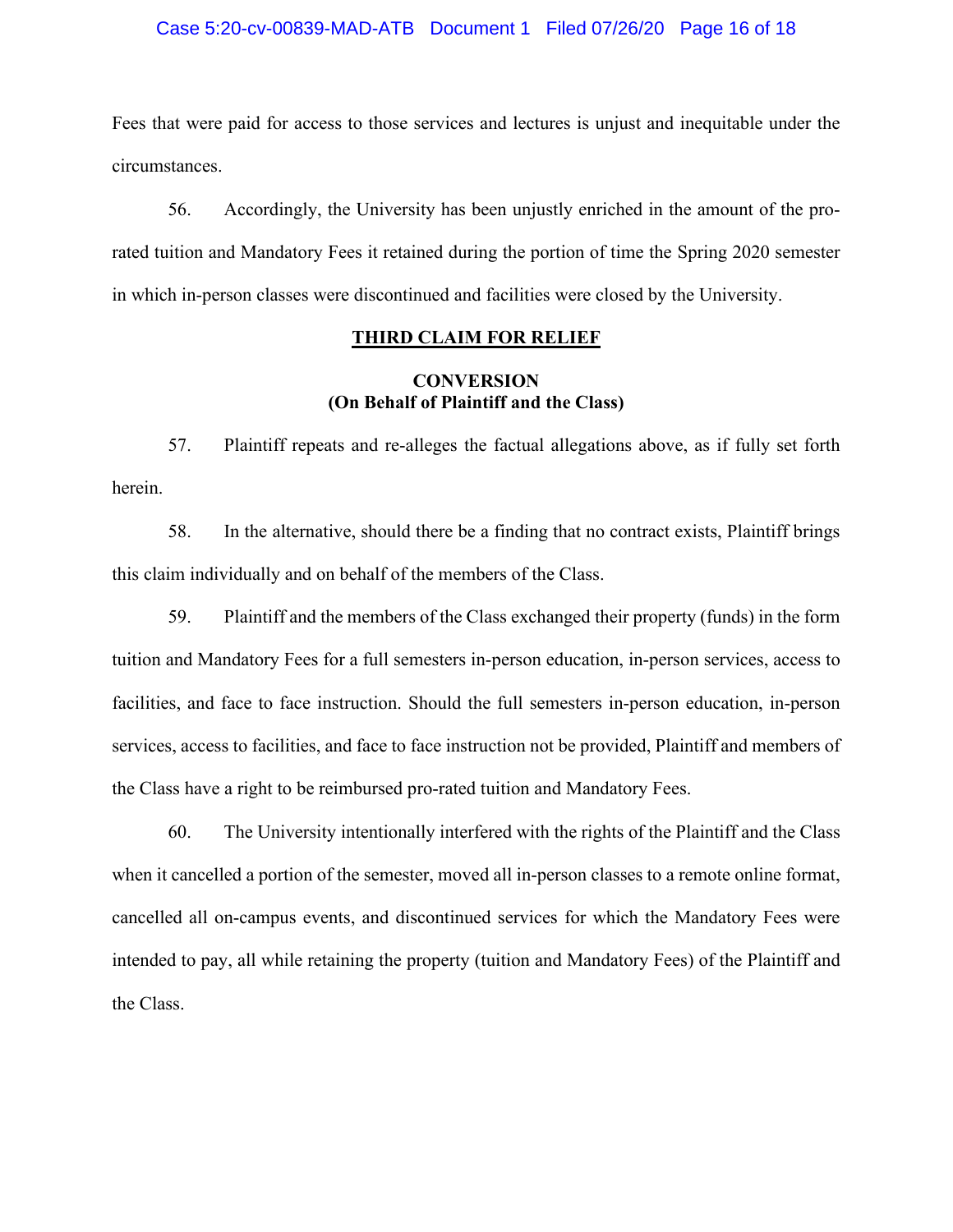## Case 5:20-cv-00839-MAD-ATB Document 1 Filed 07/26/20 Page 16 of 18

Fees that were paid for access to those services and lectures is unjust and inequitable under the circumstances.

56. Accordingly, the University has been unjustly enriched in the amount of the prorated tuition and Mandatory Fees it retained during the portion of time the Spring 2020 semester in which in-person classes were discontinued and facilities were closed by the University.

## **THIRD CLAIM FOR RELIEF**

# **CONVERSION (On Behalf of Plaintiff and the Class)**

57. Plaintiff repeats and re-alleges the factual allegations above, as if fully set forth herein.

58. In the alternative, should there be a finding that no contract exists, Plaintiff brings this claim individually and on behalf of the members of the Class.

59. Plaintiff and the members of the Class exchanged their property (funds) in the form tuition and Mandatory Fees for a full semesters in-person education, in-person services, access to facilities, and face to face instruction. Should the full semesters in-person education, in-person services, access to facilities, and face to face instruction not be provided, Plaintiff and members of the Class have a right to be reimbursed pro-rated tuition and Mandatory Fees.

60. The University intentionally interfered with the rights of the Plaintiff and the Class when it cancelled a portion of the semester, moved all in-person classes to a remote online format, cancelled all on-campus events, and discontinued services for which the Mandatory Fees were intended to pay, all while retaining the property (tuition and Mandatory Fees) of the Plaintiff and the Class.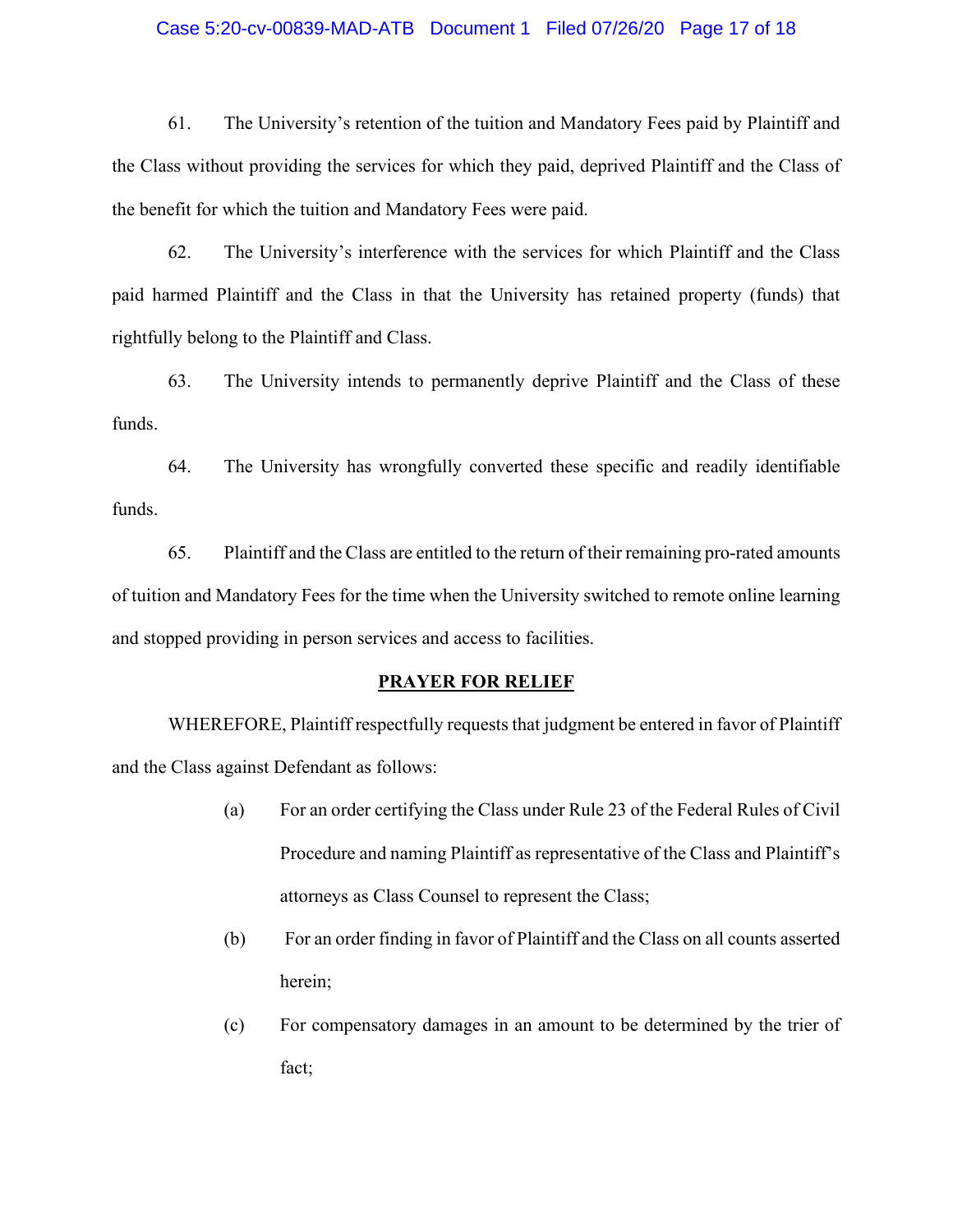## Case 5:20-cv-00839-MAD-ATB Document 1 Filed 07/26/20 Page 17 of 18

61. The University's retention of the tuition and Mandatory Fees paid by Plaintiff and the Class without providing the services for which they paid, deprived Plaintiff and the Class of the benefit for which the tuition and Mandatory Fees were paid.

62. The University's interference with the services for which Plaintiff and the Class paid harmed Plaintiff and the Class in that the University has retained property (funds) that rightfully belong to the Plaintiff and Class.

63. The University intends to permanently deprive Plaintiff and the Class of these funds.

64. The University has wrongfully converted these specific and readily identifiable funds.

65. Plaintiff and the Class are entitled to the return of their remaining pro-rated amounts of tuition and Mandatory Fees for the time when the University switched to remote online learning and stopped providing in person services and access to facilities.

### **PRAYER FOR RELIEF**

WHEREFORE, Plaintiff respectfully requests that judgment be entered in favor of Plaintiff and the Class against Defendant as follows:

- (a) For an order certifying the Class under Rule 23 of the Federal Rules of Civil Procedure and naming Plaintiff as representative of the Class and Plaintiff's attorneys as Class Counsel to represent the Class;
- (b) For an order finding in favor of Plaintiff and the Class on all counts asserted herein;
- (c) For compensatory damages in an amount to be determined by the trier of fact;